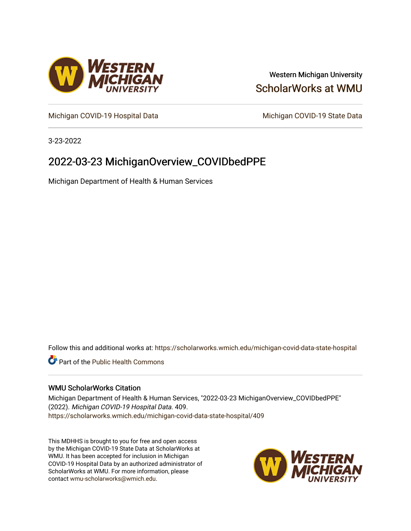

## Western Michigan University [ScholarWorks at WMU](https://scholarworks.wmich.edu/)

[Michigan COVID-19 Hospital Data](https://scholarworks.wmich.edu/michigan-covid-data-state-hospital) Michigan COVID-19 State Data

3-23-2022

# 2022-03-23 MichiganOverview\_COVIDbedPPE

Michigan Department of Health & Human Services

Follow this and additional works at: [https://scholarworks.wmich.edu/michigan-covid-data-state-hospital](https://scholarworks.wmich.edu/michigan-covid-data-state-hospital?utm_source=scholarworks.wmich.edu%2Fmichigan-covid-data-state-hospital%2F409&utm_medium=PDF&utm_campaign=PDFCoverPages) 

**Part of the Public Health Commons** 

#### WMU ScholarWorks Citation

Michigan Department of Health & Human Services, "2022-03-23 MichiganOverview\_COVIDbedPPE" (2022). Michigan COVID-19 Hospital Data. 409. [https://scholarworks.wmich.edu/michigan-covid-data-state-hospital/409](https://scholarworks.wmich.edu/michigan-covid-data-state-hospital/409?utm_source=scholarworks.wmich.edu%2Fmichigan-covid-data-state-hospital%2F409&utm_medium=PDF&utm_campaign=PDFCoverPages) 

This MDHHS is brought to you for free and open access by the Michigan COVID-19 State Data at ScholarWorks at WMU. It has been accepted for inclusion in Michigan COVID-19 Hospital Data by an authorized administrator of ScholarWorks at WMU. For more information, please contact [wmu-scholarworks@wmich.edu](mailto:wmu-scholarworks@wmich.edu).

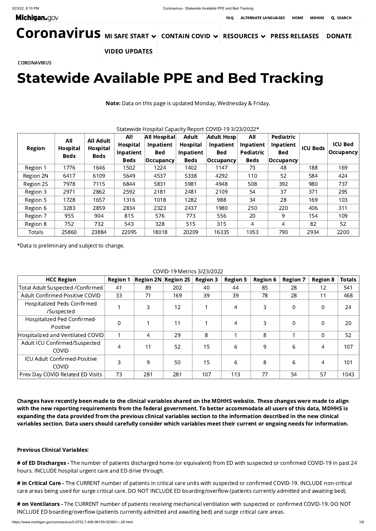# Statewide Available PPE and Bed Tracking

Note: Data on this page is updated Monday, Wednesday & Friday.

### Statewide Hospital Capacity Report COVID-19 3/23/2022\*

| <b>Region</b> | All<br><b>Hospital</b> | <b>All Adult</b><br>Hospital | All<br><b>Hospital</b> | <b>All Hospital</b><br><b>Inpatient</b> | <b>Adult</b><br><b>Hospital</b> | Adult Hosp<br><b>Inpatient</b> | All<br><b>Inpatient</b> | <b>Pediatric</b><br>Inpatient | <b>ICU Beds</b> | <b>ICU Bed</b>    |
|---------------|------------------------|------------------------------|------------------------|-----------------------------------------|---------------------------------|--------------------------------|-------------------------|-------------------------------|-----------------|-------------------|
|               | <b>Beds</b>            | <b>Beds</b>                  | Inpatient              | <b>Bed</b>                              | Inpatient                       | <b>Bed</b>                     | <b>Pediatric</b>        | <b>Bed</b>                    |                 | $ $ Occupancy $ $ |
|               |                        |                              | <b>Beds</b>            | $ $ Occupancy $ $                       | <b>Beds</b>                     | $ $ Occupancy $ $              | <b>Beds</b>             | $ $ Occupancy $ $             |                 |                   |
| Region 1      | 1776                   | 1646                         | 1502                   | 1224                                    | 1402                            | 1147                           | 73                      | 48                            | 188             | 169               |
| Region 2N     | 6417                   | 6109                         | 5649                   | 4537                                    | 5338                            | 4292                           | 110                     | 52                            | 584             | 424               |
| Region 2S     | 7978                   | 7115                         | 6844                   | 5831                                    | 5981                            | 4948                           | 508                     | 392                           | 980             | 737               |
| Region 3      | 2971                   | 2862                         | 2592                   | 2181                                    | 2481                            | 2109                           | 54                      | 37                            | 371             | 295               |
| Region 5      | 1728                   | 1657                         | 1316                   | 1018                                    | 1282                            | 988                            | 34                      | 28                            | 169             | 103               |
| Region 6      | 3283                   | 2859                         | 2834                   | 2323                                    | 2437                            | 1980                           | 250                     | 220                           | 406             | 311               |
| Region 7      | 955                    | 904                          | 815                    | 576                                     | 773                             | 556                            | 20                      | 9                             | 154             | 109               |
| Region 8      | 752                    | 732                          | 543                    | 328                                     | 515                             | 315                            | 4                       | 4                             | 82              | 52                |
| <b>Totals</b> | 25860                  | 23884                        | 22095                  | 18018                                   | 20209                           | 16335                          | 1053                    | 790                           | 2934            | 2200              |

\*Data is preliminary and subject to change.

COVID-19 Metrics 3/23/2022

# of ED Discharges - The number of patients discharged home (or equivalent) from ED with suspected or confirmed COVID-19 in past 24 hours. INCLUDE hospital urgent care and ED drive through.

# in Critical Care - The CURRENT number of patients in critical care units with suspected or confirmed COVID-19. INCLUDE non-critical care areas being used for surge critical care. DO NOT INCLUDE ED boarding/overflow (patients currently admitted and awaiting bed).

| COVID-12 MELHO 3/23/2022                            |                 |                         |     |                 |                 |                 |                 |                 |               |
|-----------------------------------------------------|-----------------|-------------------------|-----|-----------------|-----------------|-----------------|-----------------|-----------------|---------------|
| <b>HCC Region</b>                                   | <b>Region 1</b> | $ Region 2N $ Region 2S |     | <b>Region 3</b> | <b>Region 5</b> | <b>Region 6</b> | <b>Region 7</b> | <b>Region 8</b> | <b>Totals</b> |
| Total Adult Suspected /Confirmed                    | 41              | 89                      | 202 | 40              | 44              | 85              | 28              | 12              | 541           |
| Adult Confirmed-Positive COVID                      | 33              | 71                      | 169 | 39              | 39              | 78              | 28              | 11              | 468           |
| Hospitalized Peds Confirmed<br>/Suspected           |                 | 3                       | 12  |                 | 4               | 3               | $\overline{0}$  | $\Omega$        | 24            |
| Hospitalized Ped Confirmed-<br>Positive             | $\overline{0}$  |                         | 11  |                 | $\overline{4}$  | 3               | $\Omega$        | $\overline{0}$  | 20            |
| Hospitalized and Ventilated COVID                   |                 | $\overline{4}$          | 29  | 8               |                 | 8               |                 | $\overline{0}$  | 52            |
| Adult ICU Confirmed/Suspected<br><b>COVID</b>       | 4               | 11                      | 52  | 15              | 6               | 9               | 6               | 4               | 107           |
| <b>ICU Adult Confirmed-Positive</b><br><b>COVID</b> | 3               | 9                       | 50  | 15              | 6               | 8               | 6               | $\overline{4}$  | 101           |
| Prev Day COVID Related ED Visits                    | 73              | 281                     | 281 | 107             | 113             | 77              | 54              | 57              | 1043          |

# on Ventilators - The CURRENT number of patients receiving mechanical ventilation with suspected or confirmed COVID-19. DO NOT INCLUDE ED boarding/overflow (patients currently admitted and awaiting bed) and surge critical care areas.

<span id="page-1-0"></span>[Coronavirus](https://www.michigan.gov/coronavirus/) MI SAFE [START](https://www.michigan.gov/coronavirus/0,9753,7-406-100467---,00.html) V [CONTAIN](https://www.michigan.gov/coronavirus/0,9753,7-406-99891---,00.html) COVID V [RESOURCES](https://www.michigan.gov/coronavirus/0,9753,7-406-98178---,00.html) V PRESS [RELEASES](https://www.michigan.gov/coronavirus/0,9753,7-406-98158---,00.html) [DONATE](https://www.michigan.gov/coronavirus/0,9753,7-406-98178_98811---,00.html#block-3_115140) VIDEO [UPDATES](https://www.michigan.gov/coronavirus/0,9753,7-406-98414---,00.html)

**[CORONAVIRUS](https://www.michigan.gov/coronavirus/)** 

Changes have recently been made to the clinical variables shared on the MDHHS website. These changes were made to align with the new reporting requirements from the federal government. To better accommodate all users of this data, MDHHS is expanding the data provided from the previous clinical variables section to the information described in the new clinical variables section. Data users should carefully consider which variables meet their current or ongoing needs for information.

### Previous Clinical Variables: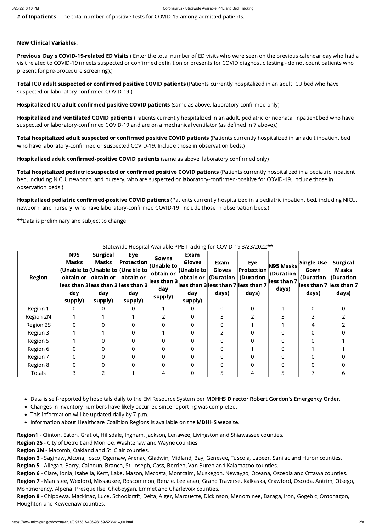# of Inpatients - The total number of positive tests for COVID-19 among admitted patients.

### New Clinical Variables:

Previous Day's COVID-19-related ED Visits (Enter the total number of ED visits who were seen on the previous calendar day who had a visit related to COVID-19 (meets suspected or confirmed definition or presents for COVID diagnostic testing - do not count patients who present for pre-procedure screening).)

Total ICU adult suspected or confirmed positive COVID patients (Patients currently hospitalized in an adult ICU bed who have suspected or laboratory-confirmed COVID-19.)

Hospitalized ICU adult confirmed-positive COVID patients (same as above, laboratory confirmed only)

Hospitalized and ventilated COVID patients (Patients currently hospitalized in an adult, pediatric or neonatal inpatient bed who have suspected or laboratory-confirmed COVID-19 and are on a mechanical ventilator (as defined in 7 above).)

Total hospitalized adult suspected or confirmed positive COVID patients (Patients currently hospitalized in an adult inpatient bed who have laboratory-confirmed or suspected COVID-19. Include those in observation beds.)

Total hospitalized pediatric suspected or confirmed positive COVID patients (Patients currently hospitalized in a pediatric inpatient bed, including NICU, newborn, and nursery, who are suspected or laboratory-confirmed-positive for COVID-19. Include those in observation beds.)

Hospitalized pediatric confirmed-positive COVID patients (Patients currently hospitalized in a pediatric inpatient bed, including NICU, newborn, and nursery, who have laboratory-confirmed COVID-19. Include those in observation beds.)

Hospitalized adult confirmed-positive COVID patients (same as above, laboratory confirmed only)

- 
- Changes in inventory numbers have likely occurred since reporting was completed.
- This information will be updated daily by 7 p.m.
- Information about Healthcare Coalition Regions is available on the MDHHS [website.](https://www.michigan.gov/mdhhs/0,5885,7-339-71548_54783_54826_56171-237197--,00.html#hcc)

Region1 - Clinton, Eaton, Gratiot, Hillsdale, Ingham, Jackson, Lenawee, Livingston and Shiawassee counties.

\*\*Data is preliminary and subject to change.

## Statewide Hospital Available PPE Tracking for COVID-19 3/23/2022\*\*

• Data is self-reported by hospitals daily to the EM Resource System per MDHHS Director Robert Gordon's [Emergency](https://www.michigan.gov/documents/coronavirus/MDHHS_epidemic_reporting_order_and_instructions_684709_7.pdf) Order.

| <b>Region</b> | <b>N95</b><br>Masks<br>day<br>supply) | <b>Surgical</b><br>Masks<br>obtain or $ $ obtain or $ $<br>day<br>supply) | <b>Eye</b><br><b>Protection</b><br>(Unable to (Unable to (Unable to<br>obtain or<br>less than 3lless than 3 lless than 3<br>day<br>supply) | Gowns<br>$ $ (Unable to $ $<br>obtain or<br>less than 3 $\mid$<br>day<br>supply) | Exam<br><b>Gloves</b><br>$ $ (Unable to $ $<br>obtain or $ $<br>day<br>supply) | Exam<br><b>Gloves</b><br>(Duration $ $<br>days) | Eye<br><b>Protection</b><br>(Duration<br>$\vert$ less than 3 less than 7 less than 7<br>days) | N95 Masks<br>(Duration<br>less than 7<br>days) | Single-Use<br>Gown<br>(Duration $ $<br>days) | <b>Surgical</b><br><b>Masks</b><br>(Duration<br>$\vert$ less than 7 $\vert$ less than 7<br>days) |
|---------------|---------------------------------------|---------------------------------------------------------------------------|--------------------------------------------------------------------------------------------------------------------------------------------|----------------------------------------------------------------------------------|--------------------------------------------------------------------------------|-------------------------------------------------|-----------------------------------------------------------------------------------------------|------------------------------------------------|----------------------------------------------|--------------------------------------------------------------------------------------------------|
| Region 1      | $\overline{0}$                        | $\Omega$                                                                  | $\Omega$                                                                                                                                   |                                                                                  | $\overline{0}$                                                                 | $\overline{0}$                                  | $\Omega$                                                                                      |                                                | $\overline{0}$                               | $\overline{0}$                                                                                   |
| Region 2N     |                                       |                                                                           |                                                                                                                                            | $\overline{2}$                                                                   | $\overline{0}$                                                                 | 3                                               | $\overline{2}$                                                                                | 3                                              | $\overline{2}$                               | 2 <sup>1</sup>                                                                                   |
| Region 2S     | $\overline{0}$                        | $\overline{0}$                                                            | $\Omega$                                                                                                                                   | $\Omega$                                                                         | $\overline{0}$                                                                 | $\overline{0}$                                  |                                                                                               |                                                | 4                                            | $\overline{2}$                                                                                   |
| Region 3      |                                       |                                                                           | $\overline{0}$                                                                                                                             |                                                                                  | $\overline{0}$                                                                 | 2 <sup>1</sup>                                  | $\Omega$                                                                                      | $\overline{0}$                                 | $\overline{0}$                               | $\overline{0}$                                                                                   |
| Region 5      |                                       | $\Omega$                                                                  | $\Omega$                                                                                                                                   | $\Omega$                                                                         | $\overline{0}$                                                                 | $\overline{0}$                                  | $\overline{0}$                                                                                | $\overline{0}$                                 | $\overline{0}$                               |                                                                                                  |
| Region 6      | $\overline{0}$                        | $\overline{0}$                                                            | $\overline{0}$                                                                                                                             | $\Omega$                                                                         | $\overline{0}$                                                                 | $\overline{0}$                                  |                                                                                               | $\overline{0}$                                 |                                              |                                                                                                  |
| Region 7      | $\overline{0}$                        | $\overline{0}$                                                            | $\overline{0}$                                                                                                                             | $\overline{0}$                                                                   | $\overline{0}$                                                                 | $\overline{0}$                                  | $\Omega$                                                                                      | $\overline{0}$                                 | $\overline{0}$                               | $\Omega$                                                                                         |
| Region 8      | $\overline{0}$                        | $\Omega$                                                                  | $\Omega$                                                                                                                                   | $\Omega$                                                                         | $\overline{0}$                                                                 | $\overline{0}$                                  | $\Omega$                                                                                      | $\overline{0}$                                 | $\overline{0}$                               | $\Omega$                                                                                         |
| Totals        | 3                                     | $\overline{2}$                                                            |                                                                                                                                            | 4                                                                                | $\overline{0}$                                                                 | 5 <sup>5</sup>                                  | 4                                                                                             | 5                                              | $\overline{7}$                               | 6                                                                                                |

Region 2S - City of Detroit and Monroe, Washtenaw and Wayne counties.

- Region 2N Macomb, Oakland and St. Clair counties.
- Region 3 Saginaw, Alcona, Iosco, Ogemaw, Arenac, Gladwin, Midland, Bay, Genesee, Tuscola, Lapeer, Sanilac and Huron counties.
- Region 5 Allegan, Barry, Calhoun, Branch, St. Joseph, Cass, Berrien, Van Buren and Kalamazoo counties.
- Region 6 Clare, Ionia, Isabella, Kent, Lake, Mason, Mecosta, Montcalm, Muskegon, Newaygo, Oceana, Osceola and Ottawa counties.
- Region 7 Manistee, Wexford, Missaukee, Roscommon, Benzie, Leelanau, Grand Traverse, Kalkaska, Crawford, Oscoda, Antrim, Otsego, Montmorency, Alpena, Presque Ilse, Cheboygan, Emmet and Charlevoix counties.
- Region 8 Chippewa, Mackinac, Luce, Schoolcraft, Delta, Alger, Marquette, Dickinson, Menominee, Baraga, Iron, Gogebic, Ontonagon, Houghton and Keweenaw counties.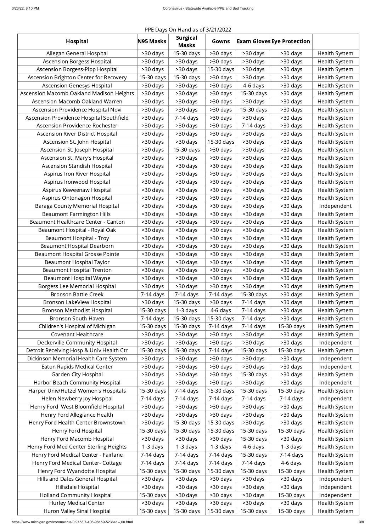# PPE Days On Hand as of 3/21/2022

| <b>Hospital</b>                          | N95 Masks   | <b>Surgical</b><br><b>Masks</b> | Gowns       |             | <b>Exam Gloves Eye Protection</b> |                      |
|------------------------------------------|-------------|---------------------------------|-------------|-------------|-----------------------------------|----------------------|
| Allegan General Hospital                 | >30 days    | 15-30 days                      | >30 days    | >30 days    | >30 days                          | Health System        |
| <b>Ascension Borgess Hospital</b>        | >30 days    | >30 days                        | >30 days    | >30 days    | >30 days                          | <b>Health System</b> |
| <b>Ascension Borgess-Pipp Hospital</b>   | >30 days    | >30 days                        | 15-30 days  | >30 days    | >30 days                          | Health System        |
| Ascension Brighton Center for Recovery   | 15-30 days  | 15-30 days                      | >30 days    | >30 days    | >30 days                          | <b>Health System</b> |
| <b>Ascension Genesys Hospital</b>        | >30 days    | >30 days                        | >30 days    | 4-6 days    | >30 days                          | Health System        |
| Ascension Macomb Oakland Madison Heights | >30 days    | >30 days                        | >30 days    | 15-30 days  | >30 days                          | <b>Health System</b> |
| Ascension Macomb Oakland Warren          | >30 days    | >30 days                        | >30 days    | >30 days    | >30 days                          | Health System        |
| Ascension Providence Hospital Novi       | >30 days    | >30 days                        | >30 days    | 15-30 days  | >30 days                          | <b>Health System</b> |
| Ascension Providence Hospital Southfield | >30 days    | 7-14 days                       | >30 days    | >30 days    | >30 days                          | Health System        |
| Ascension Providence Rochester           | >30 days    | >30 days                        | >30 days    | 7-14 days   | >30 days                          | <b>Health System</b> |
| Ascension River District Hospital        | >30 days    | >30 days                        | >30 days    | >30 days    | >30 days                          | Health System        |
| Ascension St. John Hospital              | >30 days    | >30 days                        | 15-30 days  | >30 days    | >30 days                          | <b>Health System</b> |
| Ascension St. Joseph Hospital            | >30 days    | 15-30 days                      | >30 days    | >30 days    | >30 days                          | Health System        |
| Ascension St. Mary's Hospital            | >30 days    | >30 days                        | >30 days    | >30 days    | >30 days                          | <b>Health System</b> |
| Ascension Standish Hospital              | >30 days    | >30 days                        | >30 days    | >30 days    | >30 days                          | <b>Health System</b> |
| Aspirus Iron River Hospital              | >30 days    | >30 days                        | >30 days    | >30 days    | >30 days                          | <b>Health System</b> |
| Aspirus Ironwood Hospital                | >30 days    | >30 days                        | >30 days    | >30 days    | >30 days                          | <b>Health System</b> |
| Aspirus Keweenaw Hospital                | >30 days    | >30 days                        | >30 days    | >30 days    | >30 days                          | <b>Health System</b> |
| Aspirus Ontonagon Hospital               | >30 days    | >30 days                        | >30 days    | >30 days    | >30 days                          | <b>Health System</b> |
| Baraga County Memorial Hospital          | >30 days    | >30 days                        | >30 days    | >30 days    | >30 days                          | Independent          |
| <b>Beaumont Farmington Hills</b>         | >30 days    | >30 days                        | >30 days    | >30 days    | >30 days                          | <b>Health System</b> |
| Beaumont Healthcare Center - Canton      | >30 days    | >30 days                        | >30 days    | >30 days    | >30 days                          | <b>Health System</b> |
| Beaumont Hospital - Royal Oak            | >30 days    | >30 days                        | >30 days    | >30 days    | >30 days                          | <b>Health System</b> |
| Beaumont Hospital - Troy                 | >30 days    | >30 days                        | >30 days    | $>30$ days  | >30 days                          | <b>Health System</b> |
| <b>Beaumont Hospital Dearborn</b>        | >30 days    | $>30$ days                      | >30 days    | >30 days    | >30 days                          | <b>Health System</b> |
| <b>Beaumont Hospital Grosse Pointe</b>   | >30 days    | >30 days                        | >30 days    | >30 days    | >30 days                          | <b>Health System</b> |
| <b>Beaumont Hospital Taylor</b>          | >30 days    | $>30$ days                      | >30 days    | >30 days    | >30 days                          | <b>Health System</b> |
| <b>Beaumont Hospital Trenton</b>         | >30 days    | $>30$ days                      | >30 days    | >30 days    | >30 days                          | <b>Health System</b> |
| Beaumont Hospital Wayne                  | >30 days    | >30 days                        | >30 days    | >30 days    | >30 days                          | <b>Health System</b> |
| <b>Borgess Lee Memorial Hospital</b>     | >30 days    | >30 days                        | >30 days    | >30 days    | >30 days                          | <b>Health System</b> |
| <b>Bronson Battle Creek</b>              | $7-14$ days | 7-14 days                       | $7-14$ days | 15-30 days  | >30 days                          | <b>Health System</b> |
| Bronson LakeView Hospital                | >30 days    | 15-30 days                      | >30 days    | $7-14$ days | >30 days                          | <b>Health System</b> |
| Bronson Methodist Hospital               | 15-30 days  | $1-3$ days                      | 4-6 days    | $7-14$ days | >30 days                          | <b>Health System</b> |
| Bronson South Haven                      | $7-14$ days | 15-30 days                      | 15-30 days  | $7-14$ days | >30 days                          | <b>Health System</b> |
| Children's Hospital of Michigan          | 15-30 days  | 15-30 days                      | 7-14 days   | $7-14$ days | 15-30 days                        | <b>Health System</b> |
| <b>Covenant Healthcare</b>               | $>30$ days  | >30 days                        | >30 days    | >30 days    | >30 days                          | <b>Health System</b> |
| Deckerville Community Hospital           | >30 days    | >30 days                        | >30 days    | >30 days    | >30 days                          | Independent          |
| Detroit Receiving Hosp & Univ Health Ctr | 15-30 days  | 15-30 days                      | 7-14 days   | 15-30 days  | 15-30 days                        | <b>Health System</b> |
| Dickinson Memorial Health Care System    | >30 days    | >30 days                        | >30 days    | >30 days    | >30 days                          | Independent          |
| Eaton Rapids Medical Center              | >30 days    | >30 days                        | >30 days    | >30 days    | >30 days                          | Independent          |
| <b>Garden City Hospital</b>              | >30 days    | >30 days                        | >30 days    | 15-30 days  | >30 days                          | <b>Health System</b> |
| Harbor Beach Community Hospital          | >30 days    | >30 days                        | >30 days    | >30 days    | >30 days                          | Independent          |
| Harper Univ/Hutzel Women's Hospitals     | 15-30 days  | 7-14 days                       | 15-30 days  | 15-30 days  | 15-30 days                        | <b>Health System</b> |
| Helen Newberry Joy Hospital              | $7-14$ days | 7-14 days                       | $7-14$ days | $7-14$ days | $7-14$ days                       | Independent          |
| Henry Ford West Bloomfield Hospital      | >30 days    | $>30$ days                      | >30 days    | >30 days    | >30 days                          | <b>Health System</b> |
| Henry Ford Allegiance Health             | $>30$ days  | >30 days                        | >30 days    | >30 days    | >30 days                          | <b>Health System</b> |
| Henry Ford Health Center Brownstown      | >30 days    | 15-30 days                      | 15-30 days  | >30 days    | >30 days                          | <b>Health System</b> |
| Henry Ford Hospital                      | 15-30 days  | 15-30 days                      | 15-30 days  | 15-30 days  | 15-30 days                        | <b>Health System</b> |
| Henry Ford Macomb Hospital               | >30 days    | >30 days                        | >30 days    | 15-30 days  | >30 days                          | <b>Health System</b> |
| Henry Ford Med Center Sterling Heights   | 1-3 days    | $1-3$ days                      | 1-3 days    | 4-6 days    | 1-3 days                          | <b>Health System</b> |
| Henry Ford Medical Center - Fairlane     | 7-14 days   | $7-14$ days                     | 7-14 days   | 15-30 days  | 7-14 days                         | <b>Health System</b> |
| Henry Ford Medical Center- Cottage       | $7-14$ days | 7-14 days                       | 7-14 days   | $7-14$ days | 4-6 days                          | <b>Health System</b> |
| Henry Ford Wyandotte Hospital            | 15-30 days  | 15-30 days                      | 15-30 days  | 15-30 days  | 15-30 days                        | <b>Health System</b> |
| Hills and Dales General Hospital         | >30 days    | >30 days                        | >30 days    | >30 days    | >30 days                          | Independent          |
| Hillsdale Hospital                       | >30 days    | >30 days                        | >30 days    | >30 days    | >30 days                          | Independent          |
| <b>Holland Community Hospital</b>        | 15-30 days  | >30 days                        | >30 days    | >30 days    | 15-30 days                        | Independent          |
| <b>Hurley Medical Center</b>             | >30 days    | >30 days                        | >30 days    | >30 days    | >30 days                          | <b>Health System</b> |
| Huron Valley Sinai Hospital              | 15-30 days  | 15-30 days                      | 15-30 days  | 15-30 days  | 15-30 days                        | Health System        |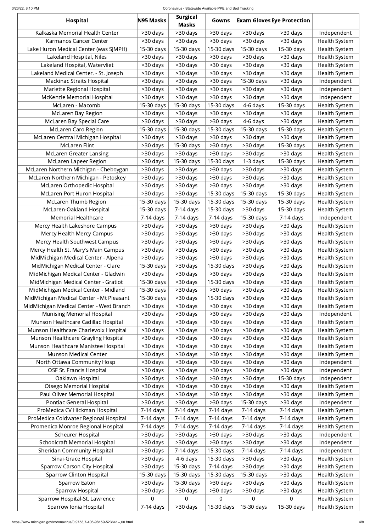#### 3/23/22, 8:10 PM Coronavirus - Statewide Available PPE and Bed Tracking

| Hospital                                                            | N95 Masks            | <b>Surgical</b><br><b>Masks</b> | Gowns                |                        | <b>Exam Gloves Eye Protection</b> |                              |
|---------------------------------------------------------------------|----------------------|---------------------------------|----------------------|------------------------|-----------------------------------|------------------------------|
| Kalkaska Memorial Health Center                                     | >30 days             | >30 days                        | >30 days             | >30 days               | >30 days                          | Independent                  |
| Karmanos Cancer Center                                              | >30 days             | >30 days                        | >30 days             | >30 days               | >30 days                          | Health System                |
| Lake Huron Medical Center (was SJMPH)                               | 15-30 days           | 15-30 days                      | 15-30 days           | 15-30 days             | 15-30 days                        | Health System                |
| Lakeland Hospital, Niles                                            | >30 days             | >30 days                        | >30 days             | >30 days               | >30 days                          | Health System                |
| Lakeland Hospital, Watervliet                                       | >30 days             | >30 days                        | >30 days             | >30 days               | >30 days                          | Health System                |
| Lakeland Medical Center. - St. Joseph                               | >30 days             | >30 days                        | >30 days             | >30 days               | >30 days                          | Health System                |
| <b>Mackinac Straits Hospital</b>                                    | >30 days             | >30 days                        | >30 days             | 15-30 days             | >30 days                          | Independent                  |
| Marlette Regional Hospital                                          | >30 days             | >30 days                        | >30 days             | >30 days               | >30 days                          | Independent                  |
| McKenzie Memorial Hospital                                          | >30 days             | >30 days                        | >30 days             | >30 days               | >30 days                          | Independent                  |
| McLaren - Macomb                                                    | 15-30 days           | 15-30 days                      | 15-30 days           | 4-6 days               | 15-30 days                        | Health System                |
| McLaren Bay Region                                                  | >30 days             | >30 days                        | >30 days             | >30 days               | >30 days                          | Health System                |
| McLaren Bay Special Care                                            | >30 days             | >30 days                        | >30 days             | 4-6 days               | >30 days                          | Health System                |
| <b>McLaren Caro Region</b>                                          | 15-30 days           | 15-30 days                      | 15-30 days           | 15-30 days             | 15-30 days                        | Health System                |
| McLaren Central Michigan Hospital                                   | >30 days             | >30 days                        | >30 days             | >30 days               | >30 days                          | Health System                |
| <b>McLaren Flint</b>                                                | >30 days             | 15-30 days                      | >30 days             | >30 days               | 15-30 days                        | Health System                |
| <b>McLaren Greater Lansing</b>                                      | >30 days             | >30 days                        | >30 days             | >30 days               | >30 days                          | Health System                |
| McLaren Lapeer Region                                               | >30 days             | 15-30 days                      | 15-30 days           | $1-3$ days             | 15-30 days                        | Health System                |
| McLaren Northern Michigan - Cheboygan                               | >30 days             | >30 days                        | >30 days             | >30 days               | >30 days                          | Health System                |
| McLaren Northern Michigan - Petoskey                                | >30 days             | >30 days                        | >30 days             | >30 days               | >30 days                          | Health System                |
| McLaren Orthopedic Hospital                                         | >30 days             | >30 days                        | >30 days             | >30 days               | >30 days                          | Health System                |
| McLaren Port Huron Hospital                                         | >30 days             | >30 days                        | 15-30 days           | 15-30 days             | 15-30 days                        | Health System                |
| <b>McLaren Thumb Region</b>                                         | 15-30 days           | 15-30 days                      | 15-30 days           | 15-30 days             | 15-30 days                        | Health System                |
| McLaren-Oakland Hospital                                            | 15-30 days           | $7-14$ days                     | 15-30 days           | >30 days               | 15-30 days                        | Health System                |
| <b>Memorial Healthcare</b>                                          | $7-14$ days          | 7-14 days                       | 7-14 days            | 15-30 days             | $7-14$ days                       | Independent                  |
| Mercy Health Lakeshore Campus                                       | >30 days             | >30 days                        | $>30$ days           | $>30$ days             | >30 days                          | Health System                |
| Mercy Health Mercy Campus                                           | >30 days             | >30 days                        | $>30$ days           | >30 days               | >30 days                          | Health System                |
| Mercy Health Southwest Campus                                       | >30 days             | >30 days                        | $>30$ days           | $>30$ days             | >30 days                          | Health System                |
| Mercy Health St. Mary's Main Campus                                 | >30 days             | >30 days                        | $>30$ days           | >30 days               | >30 days                          | Health System                |
| MidMichigan Medical Center - Alpena                                 | >30 days             | $>30$ days                      | >30 days             | $>30$ days             | >30 days                          | Health System                |
| MidMichigan Medical Center - Clare                                  | 15-30 days           | >30 days                        | 15-30 days           | >30 days               | >30 days                          | Health System                |
| MidMichigan Medical Center - Gladwin                                | >30 days             | >30 days                        | >30 days             | $>30$ days             | >30 days                          | Health System                |
| MidMichigan Medical Center - Gratiot                                | 15-30 days           | >30 days                        | 15-30 days           | $>30$ days             | >30 days                          | Health System                |
| MidMichigan Medical Center - Midland                                | 15-30 days           | $>30$ days                      | >30 days             | $>30$ days             | >30 days                          | Health System                |
| MidMichigan Medical Center - Mt Pleasant                            | 15-30 days           | >30 days                        | 15-30 days           | >30 days               | >30 days                          | Health System                |
| MidMichigan Medical Center - West Branch                            | >30 days             | >30 days                        | >30 days             | >30 days               | >30 days                          | Health System                |
| <b>Munising Memorial Hospital</b>                                   | >30 days             | >30 days                        | >30 days             | >30 days               | >30 days                          | Independent                  |
| Munson Healthcare Cadillac Hospital                                 | >30 days             | >30 days                        | >30 days             | >30 days               | >30 days                          | Health System                |
| Munson Healthcare Charlevoix Hospital                               | >30 days             | >30 days                        | >30 days             | >30 days               | >30 days                          | Health System                |
| Munson Healthcare Grayling Hospital                                 | >30 days             | >30 days                        | >30 days             | $>30$ days             | >30 days                          | Health System                |
| Munson Healthcare Manistee Hospital<br><b>Munson Medical Center</b> | >30 days             | >30 days                        | >30 days             | >30 days               | >30 days                          | Health System                |
| North Ottawa Community Hosp                                         | >30 days             | >30 days                        | >30 days<br>>30 days | $>30$ days<br>>30 days | >30 days<br>>30 days              | Health System<br>Independent |
| <b>OSF St. Francis Hospital</b>                                     | >30 days<br>>30 days | >30 days<br>>30 days            | >30 days             | $>30$ days             | >30 days                          | Independent                  |
| Oaklawn Hospital                                                    | >30 days             | >30 days                        | >30 days             | >30 days               | 15-30 days                        | Independent                  |
| <b>Otsego Memorial Hospital</b>                                     | >30 days             | >30 days                        | $>30$ days           | $>30$ days             | >30 days                          | Health System                |
| Paul Oliver Memorial Hospital                                       | >30 days             | >30 days                        | >30 days             | >30 days               | >30 days                          | Health System                |
| <b>Pontiac General Hospital</b>                                     | >30 days             | >30 days                        | $>30$ days           | 15-30 days             | >30 days                          | Independent                  |
| ProMedica CV Hickman Hospital                                       | 7-14 days            | 7-14 days                       | 7-14 days            | 7-14 days              | 7-14 days                         | Health System                |
| ProMedica Coldwater Regional Hospital                               | 7-14 days            | $7-14$ days                     | 7-14 days            | 7-14 days              | 7-14 days                         | Health System                |
| Promedica Monroe Regional Hospital                                  | 7-14 days            | $7-14$ days                     | 7-14 days            | 7-14 days              | 7-14 days                         | Health System                |
| <b>Scheurer Hospital</b>                                            | >30 days             | >30 days                        | >30 days             | >30 days               | >30 days                          | Independent                  |
| <b>Schoolcraft Memorial Hospital</b>                                | >30 days             | >30 days                        | >30 days             | >30 days               | >30 days                          | Independent                  |
| <b>Sheridan Community Hospital</b>                                  | >30 days             | 7-14 days                       | 15-30 days           | $7-14$ days            | 7-14 days                         | Independent                  |
| Sinai-Grace Hospital                                                | >30 days             | 4-6 days                        | 15-30 days           | >30 days               | >30 days                          | Health System                |
| <b>Sparrow Carson City Hospital</b>                                 | >30 days             | 15-30 days                      | 7-14 days            | >30 days               | >30 days                          | Health System                |
| <b>Sparrow Clinton Hospital</b>                                     | 15-30 days           | 15-30 days                      | 15-30 days           | 15-30 days             | >30 days                          | Health System                |
| Sparrow Eaton                                                       | >30 days             | 15-30 days                      | >30 days             | >30 days               | >30 days                          | Health System                |
| Sparrow Hospital                                                    | >30 days             | >30 days                        | >30 days             | >30 days               | >30 days                          | Health System                |
| Sparrow Hospital-St. Lawrence                                       | $\overline{0}$       | $\overline{0}$                  | $\overline{0}$       | 0                      | 0                                 | Health System                |
| Sparrow Ionia Hospital                                              | 7-14 days            | >30 days                        | 15-30 days           | 15-30 days             | 15-30 days                        | Health System                |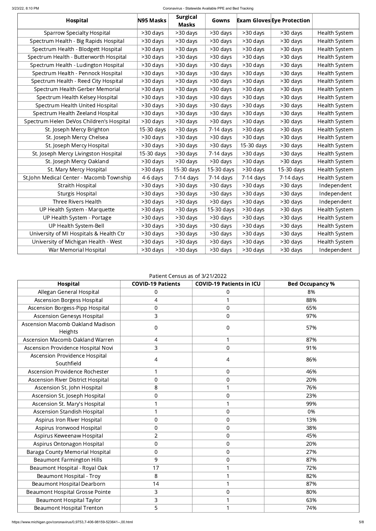#### 3/23/22, 8:10 PM Coronavirus - Statewide Available PPE and Bed Tracking

| <b>Hospital</b>                          | N95 Masks  | <b>Surgical</b><br><b>Masks</b> | Gowns       |             | <b>Exam Gloves Eye Protection</b> |               |
|------------------------------------------|------------|---------------------------------|-------------|-------------|-----------------------------------|---------------|
| <b>Sparrow Specialty Hospital</b>        | >30 days   | >30 days                        | >30 days    | >30 days    | >30 days                          | Health System |
| Spectrum Health - Big Rapids Hospital    | >30 days   | >30 days                        | >30 days    | >30 days    | >30 days                          | Health System |
| Spectrum Health - Blodgett Hospital      | >30 days   | >30 days                        | >30 days    | >30 days    | >30 days                          | Health System |
| Spectrum Health - Butterworth Hospital   | >30 days   | >30 days                        | >30 days    | >30 days    | >30 days                          | Health System |
| Spectrum Health - Ludington Hospital     | >30 days   | >30 days                        | >30 days    | >30 days    | >30 days                          | Health System |
| Spectrum Health - Pennock Hospital       | >30 days   | >30 days                        | >30 days    | >30 days    | >30 days                          | Health System |
| Spectrum Health - Reed City Hospital     | >30 days   | >30 days                        | >30 days    | >30 days    | >30 days                          | Health System |
| Spectrum Health Gerber Memorial          | >30 days   | >30 days                        | >30 days    | >30 days    | >30 days                          | Health System |
| Spectrum Health Kelsey Hospital          | >30 days   | >30 days                        | >30 days    | >30 days    | >30 days                          | Health System |
| Spectrum Health United Hospital          | >30 days   | >30 days                        | >30 days    | >30 days    | >30 days                          | Health System |
| Spectrum Health Zeeland Hospital         | >30 days   | >30 days                        | >30 days    | >30 days    | >30 days                          | Health System |
| Spectrum Helen DeVos Children's Hospital | >30 days   | >30 days                        | $>30$ days  | >30 days    | >30 days                          | Health System |
| St. Joseph Mercy Brighton                | 15-30 days | >30 days                        | 7-14 days   | >30 days    | >30 days                          | Health System |
| St. Joseph Mercy Chelsea                 | >30 days   | >30 days                        | >30 days    | >30 days    | >30 days                          | Health System |
| St. Joseph Mercy Hospital                | >30 days   | >30 days                        | >30 days    | 15-30 days  | >30 days                          | Health System |
| St. Joseph Mercy Livingston Hospital     | 15-30 days | >30 days                        | $7-14$ days | >30 days    | >30 days                          | Health System |
| St. Joseph Mercy Oakland                 | >30 days   | >30 days                        | >30 days    | >30 days    | >30 days                          | Health System |
| St. Mary Mercy Hospital                  | >30 days   | 15-30 days                      | 15-30 days  | >30 days    | 15-30 days                        | Health System |
| St.John Medical Center - Macomb Township | 4-6 days   | 7-14 days                       | $7-14$ days | $7-14$ days | $7-14$ days                       | Health System |
| Straith Hospital                         | >30 days   | >30 days                        | >30 days    | >30 days    | >30 days                          | Independent   |
| <b>Sturgis Hospital</b>                  | >30 days   | >30 days                        | >30 days    | >30 days    | >30 days                          | Independent   |
| Three Rivers Health                      | >30 days   | >30 days                        | $>30$ days  | $>30$ days  | >30 days                          | Independent   |
| UP Health System - Marquette             | >30 days   | >30 days                        | 15-30 days  | >30 days    | >30 days                          | Health System |
| UP Health System - Portage               | >30 days   | >30 days                        | $>30$ days  | $>30$ days  | >30 days                          | Health System |
| UP Health System-Bell                    | >30 days   | >30 days                        | >30 days    | >30 days    | >30 days                          | Health System |
| University of MI Hospitals & Health Ctr  | >30 days   | >30 days                        | >30 days    | >30 days    | >30 days                          | Health System |
| University of Michigan Health - West     | >30 days   | >30 days                        | >30 days    | >30 days    | >30 days                          | Health System |
| War Memorial Hospital                    | >30 days   | >30 days                        | >30 days    | >30 days    | >30 days                          | Independent   |

#### Patient Census as of 3/21/2022

| <b>Hospital</b>                                    | <b>COVID-19 Patients</b> | <b>COVID-19 Patients in ICU</b> | <b>Bed Occupancy %</b> |
|----------------------------------------------------|--------------------------|---------------------------------|------------------------|
| Allegan General Hospital                           | 0                        | 0                               | 8%                     |
| <b>Ascension Borgess Hospital</b>                  | $\overline{4}$           | 1                               | 88%                    |
| Ascension Borgess-Pipp Hospital                    | $\mathbf 0$              | $\overline{0}$                  | 65%                    |
| <b>Ascension Genesys Hospital</b>                  | 3                        | $\overline{0}$                  | 97%                    |
| Ascension Macomb Oakland Madison<br>Heights        | $\boldsymbol{0}$         | $\mathbf 0$                     | 57%                    |
| Ascension Macomb Oakland Warren                    | 4                        | $\mathbf{1}$                    | 87%                    |
| Ascension Providence Hospital Novi                 | 3                        | $\overline{0}$                  | 91%                    |
| <b>Ascension Providence Hospital</b><br>Southfield | 4                        | 4                               | 86%                    |
| Ascension Providence Rochester                     | 1                        | $\mathbf 0$                     | 46%                    |
| Ascension River District Hospital                  | $\overline{0}$           | $\boldsymbol{0}$                | 20%                    |
| Ascension St. John Hospital                        | 8                        | 1                               | 76%                    |
| Ascension St. Joseph Hospital                      | $\mathbf 0$              | $\mathbf 0$                     | 23%                    |
| Ascension St. Mary's Hospital                      | $\mathbf{1}$             | $\mathbf{1}$                    | 99%                    |
| <b>Ascension Standish Hospital</b>                 | 1                        | $\overline{0}$                  | 0%                     |
| Aspirus Iron River Hospital                        | $\boldsymbol{0}$         | $\boldsymbol{0}$                | 13%                    |
| Aspirus Ironwood Hospital                          | $\overline{0}$           | $\overline{0}$                  | 38%                    |
| Aspirus Keweenaw Hospital                          | $\overline{2}$           | $\overline{0}$                  | 45%                    |
| Aspirus Ontonagon Hospital                         | $\overline{0}$           | $\overline{0}$                  | 20%                    |
| <b>Baraga County Memorial Hospital</b>             | $\mathbf 0$              | $\overline{0}$                  | 27%                    |
| <b>Beaumont Farmington Hills</b>                   | 9                        | $\boldsymbol{0}$                | 87%                    |
| Beaumont Hospital - Royal Oak                      | 17                       | 1                               | 72%                    |
| <b>Beaumont Hospital - Troy</b>                    | 8                        | 1                               | 82%                    |
| <b>Beaumont Hospital Dearborn</b>                  | 14                       | 1                               | 87%                    |
| <b>Beaumont Hospital Grosse Pointe</b>             | 3                        | $\boldsymbol{0}$                | 80%                    |
| <b>Beaumont Hospital Taylor</b>                    | 3                        | 1                               | 63%                    |
| <b>Beaumont Hospital Trenton</b>                   | 5                        | 1                               | 74%                    |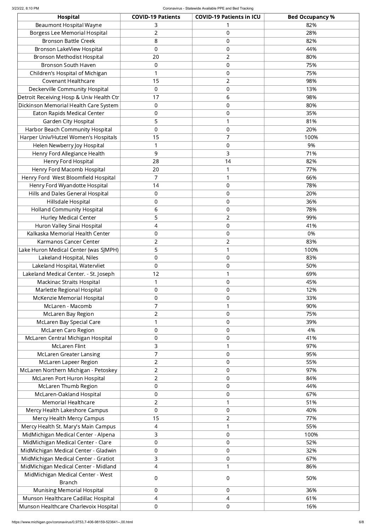| <b>Hospital</b>                          | <b>COVID-19 Patients</b> | <b>COVID-19 Patients in ICU</b> | <b>Bed Occupancy %</b> |
|------------------------------------------|--------------------------|---------------------------------|------------------------|
| <b>Beaumont Hospital Wayne</b>           | 3                        |                                 | 82%                    |
| <b>Borgess Lee Memorial Hospital</b>     | $\overline{2}$           | $\boldsymbol{0}$                | 28%                    |
| <b>Bronson Battle Creek</b>              | 8                        | $\boldsymbol{0}$                | 82%                    |
| <b>Bronson LakeView Hospital</b>         | $\overline{0}$           | $\boldsymbol{0}$                | 44%                    |
| <b>Bronson Methodist Hospital</b>        | 20                       | $\overline{2}$                  | 80%                    |
| <b>Bronson South Haven</b>               | $\mathbf 0$              | $\boldsymbol{0}$                | 75%                    |
| Children's Hospital of Michigan          | 1                        | $\boldsymbol{0}$                | 75%                    |
| <b>Covenant Healthcare</b>               | 15                       | $\overline{2}$                  | 98%                    |
| Deckerville Community Hospital           | $\mathbf 0$              | $\boldsymbol{0}$                | 13%                    |
| Detroit Receiving Hosp & Univ Health Ctr | 17                       | 6                               | 98%                    |
| Dickinson Memorial Health Care System    | $\mathbf 0$              | $\boldsymbol{0}$                | 80%                    |
| <b>Eaton Rapids Medical Center</b>       | $\boldsymbol{0}$         | $\boldsymbol{0}$                | 35%                    |
| <b>Garden City Hospital</b>              | 5                        | 1                               | 81%                    |
| Harbor Beach Community Hospital          | $\mathbf 0$              | $\boldsymbol{0}$                | 20%                    |
| Harper Univ/Hutzel Women's Hospitals     | 15                       | $\overline{7}$                  | 100%                   |
| Helen Newberry Joy Hospital              | 1                        | $\boldsymbol{0}$                | 9%                     |
| Henry Ford Allegiance Health             | 9                        | 3                               | 71%                    |
| Henry Ford Hospital                      | 28                       | 14                              | 82%                    |
| Henry Ford Macomb Hospital               | 20                       | $\mathbf 1$                     | 77%                    |
| Henry Ford West Bloomfield Hospital      | 7                        | 1                               | 66%                    |
| Henry Ford Wyandotte Hospital            | 14                       | $\boldsymbol{0}$                | 78%                    |
| Hills and Dales General Hospital         | $\mathbf 0$              | $\boldsymbol{0}$                | 20%                    |
| Hillsdale Hospital                       | $\mathbf 0$              | $\boldsymbol{0}$                | 36%                    |
| <b>Holland Community Hospital</b>        | 6                        | $\mathbf 0$                     | 78%                    |
| <b>Hurley Medical Center</b>             | 5                        | $\overline{2}$                  | 99%                    |
| Huron Valley Sinai Hospital              | 4                        | $\boldsymbol{0}$                | 41%                    |
| Kalkaska Memorial Health Center          | $\mathbf 0$              | $\boldsymbol{0}$                | 0%                     |
| Karmanos Cancer Center                   | $\overline{2}$           | $\overline{2}$                  | 83%                    |
| Lake Huron Medical Center (was SJMPH)    | 5                        | 1                               | 100%                   |
| Lakeland Hospital, Niles                 | $\mathbf 0$              | $\boldsymbol{0}$                | 83%                    |
| Lakeland Hospital, Watervliet            | $\mathbf 0$              | $\boldsymbol{0}$                | 50%                    |
| Lakeland Medical Center. - St. Joseph    | 12                       | 1                               | 69%                    |
| <b>Mackinac Straits Hospital</b>         | 1                        | $\boldsymbol{0}$                | 45%                    |
| Marlette Regional Hospital               | $\mathbf 0$              | $\boldsymbol{0}$                | 12%                    |
| McKenzie Memorial Hospital               | $\mathbf 0$              | $\boldsymbol{0}$                | 33%                    |
| McLaren - Macomb                         | $\overline{7}$           | 1                               | 90%                    |
| <b>McLaren Bay Region</b>                | $\overline{2}$           | $\boldsymbol{0}$                | 75%                    |
| McLaren Bay Special Care                 | 1                        | $\boldsymbol{0}$                | 39%                    |
| <b>McLaren Caro Region</b>               | $\mathbf 0$              | $\boldsymbol{0}$                | 4%                     |
| McLaren Central Michigan Hospital        | $\overline{0}$           | $\boldsymbol{0}$                | 41%                    |
| <b>McLaren Flint</b>                     | 3                        | 1                               | 97%                    |
| <b>McLaren Greater Lansing</b>           | 7                        | $\boldsymbol{0}$                | 95%                    |
| McLaren Lapeer Region                    | $\overline{2}$           | $\boldsymbol{0}$                | 55%                    |
| McLaren Northern Michigan - Petoskey     | $\overline{2}$           | $\boldsymbol{0}$                | 97%                    |
| McLaren Port Huron Hospital              | $\overline{2}$           | $\boldsymbol{0}$                | 84%                    |
| <b>McLaren Thumb Region</b>              | $\mathbf 0$              | $\boldsymbol{0}$                | 44%                    |
| McLaren-Oakland Hospital                 | $\boldsymbol{0}$         | $\boldsymbol{0}$                | 67%                    |
| <b>Memorial Healthcare</b>               | $\overline{2}$           | $\mathbf 1$                     | 51%                    |
| Mercy Health Lakeshore Campus            | $\overline{0}$           | $\mathbf 0$                     | 40%                    |
| Mercy Health Mercy Campus                | 15                       | $\overline{2}$                  | 77%                    |
| Mercy Health St. Mary's Main Campus      | 4                        | 1                               | 55%                    |
| MidMichigan Medical Center - Alpena      | 3                        | $\boldsymbol{0}$                | 100%                   |
| MidMichigan Medical Center - Clare       | $\mathbf 0$              | $\boldsymbol{0}$                | 52%                    |
| MidMichigan Medical Center - Gladwin     | $\mathbf 0$              | $\boldsymbol{0}$                | 32%                    |
| MidMichigan Medical Center - Gratiot     | 3                        | $\mathbf 0$                     | 67%                    |
| MidMichigan Medical Center - Midland     | 4                        | 1                               | 86%                    |
| MidMichigan Medical Center - West        | $\mathbf 0$              | $\boldsymbol{0}$                | 50%                    |
| <b>Branch</b>                            |                          |                                 |                        |
| <b>Munising Memorial Hospital</b>        | $\mathbf 0$              | $\overline{0}$                  | 36%                    |
| Munson Healthcare Cadillac Hospital      | 4                        | $\overline{4}$                  | 61%                    |
| Munson Healthcare Charlevoix Hospital    | $\mathbf 0$              | $\mathbf 0$                     | 16%                    |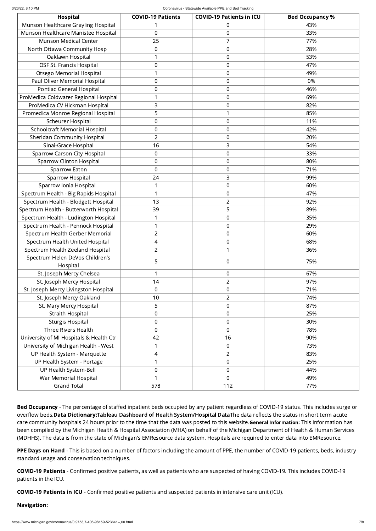| <b>Hospital</b>                         | <b>COVID-19 Patients</b> | <b>COVID-19 Patients in ICU</b> | <b>Bed Occupancy %</b> |
|-----------------------------------------|--------------------------|---------------------------------|------------------------|
| Munson Healthcare Grayling Hospital     |                          | 0                               | 43%                    |
| Munson Healthcare Manistee Hospital     | 0                        | $\boldsymbol{0}$                | 33%                    |
| <b>Munson Medical Center</b>            | 25                       | 7                               | 77%                    |
| North Ottawa Community Hosp             | 0                        | $\boldsymbol{0}$                | 28%                    |
| Oaklawn Hospital                        | 1                        | $\boldsymbol{0}$                | 53%                    |
| OSF St. Francis Hospital                | 0                        | $\boldsymbol{0}$                | 47%                    |
| <b>Otsego Memorial Hospital</b>         | 1                        | $\boldsymbol{0}$                | 49%                    |
| Paul Oliver Memorial Hospital           | 0                        | $\boldsymbol{0}$                | 0%                     |
| Pontiac General Hospital                | 0                        | $\boldsymbol{0}$                | 46%                    |
| ProMedica Coldwater Regional Hospital   | 1                        | $\boldsymbol{0}$                | 69%                    |
| ProMedica CV Hickman Hospital           | 3                        | $\boldsymbol{0}$                | 82%                    |
| Promedica Monroe Regional Hospital      | 5                        | 1                               | 85%                    |
| <b>Scheurer Hospital</b>                | 0                        | $\boldsymbol{0}$                | 11%                    |
| <b>Schoolcraft Memorial Hospital</b>    | 0                        | $\boldsymbol{0}$                | 42%                    |
| <b>Sheridan Community Hospital</b>      | $\overline{2}$           | 0                               | 20%                    |
| Sinai-Grace Hospital                    | 16                       | 3                               | 54%                    |
| <b>Sparrow Carson City Hospital</b>     | 0                        | 0                               | 33%                    |
| <b>Sparrow Clinton Hospital</b>         | $\boldsymbol{0}$         | 0                               | 80%                    |
| <b>Sparrow Eaton</b>                    | $\overline{0}$           | 0                               | 71%                    |
| <b>Sparrow Hospital</b>                 | 24                       | 3                               | 99%                    |
| Sparrow Ionia Hospital                  | 1                        | 0                               | 60%                    |
| Spectrum Health - Big Rapids Hospital   | 1                        | 0                               | 47%                    |
| Spectrum Health - Blodgett Hospital     | 13                       | $\overline{2}$                  | 92%                    |
| Spectrum Health - Butterworth Hospital  | 39                       | 5                               | 89%                    |
| Spectrum Health - Ludington Hospital    | 1                        | $\boldsymbol{0}$                | 35%                    |
| Spectrum Health - Pennock Hospital      | 1                        | $\boldsymbol{0}$                | 29%                    |
| Spectrum Health Gerber Memorial         | $\overline{2}$           | $\boldsymbol{0}$                | 60%                    |
| Spectrum Health United Hospital         | 4                        | $\boldsymbol{0}$                | 68%                    |
| Spectrum Health Zeeland Hospital        | $\overline{2}$           | 1                               | 36%                    |
| Spectrum Helen DeVos Children's         | 5                        | $\mathbf 0$                     | 75%                    |
| Hospital                                |                          |                                 |                        |
| St. Joseph Mercy Chelsea                | $\mathbf{1}$             | 0                               | 67%                    |
| St. Joseph Mercy Hospital               | 14                       | $\overline{2}$                  | 97%                    |
| St. Joseph Mercy Livingston Hospital    | $\overline{0}$           | $\boldsymbol{0}$                | 71%                    |
| St. Joseph Mercy Oakland                | 10                       | $\overline{2}$                  | 74%                    |
| St. Mary Mercy Hospital                 | 5                        | $\boldsymbol{0}$                | 87%                    |
| <b>Straith Hospital</b>                 | $\boldsymbol{0}$         | $\boldsymbol{0}$                | 25%                    |
| <b>Sturgis Hospital</b>                 | $\boldsymbol{0}$         | $\boldsymbol{0}$                | 30%                    |
| <b>Three Rivers Health</b>              | $\boldsymbol{0}$         | $\boldsymbol{0}$                | 78%                    |
| University of MI Hospitals & Health Ctr | 42                       | 16                              | 90%                    |
| University of Michigan Health - West    | 1                        | 0                               | 73%                    |
| UP Health System - Marquette            | 4                        | $\overline{2}$                  | 83%                    |
| UP Health System - Portage              | 1                        | $\boldsymbol{0}$                | 25%                    |
| UP Health System-Bell                   | 0                        | $\boldsymbol{0}$                | 44%                    |
| War Memorial Hospital                   | 1                        | $\overline{0}$                  | 49%                    |
| <b>Grand Total</b>                      | 578                      | 112                             | 77%                    |

Bed Occupancy - The percentage of staffed inpatient beds occupied by any patient regardless of COVID-19 status. This includes surge or overflow beds.Data Dictionary:Tableau Dashboard of Health [System/Hospital](https://public.tableau.com/profile/mhapublic#!/vizhome/COVIDPublicDashboard/PleaseRead) DataThe data reflects the status in short term acute care community hospitals 24 hours prior to the time that the data was posted to this website. General Information: This information has been compiled by the Michigan Health & Hospital Association (MHA) on behalf of the Michigan Department of Health & Human Services (MDHHS). The data is from the state of Michigan's EMResource data system. Hospitals are required to enter data into EMResource.

PPE Days on Hand - This is based on a number of factors including the amount of PPE, the number of COVID-19 patients, beds, industry standard usage and conservation techniques.

COVID-19 Patients - Confirmed positive patients, as well as patients who are suspected of having COVID-19. This includes COVID-19 patients in the ICU.

COVID-19 Patients in ICU - Confirmed positive patients and suspected patients in intensive care unit (ICU).

## Navigation: